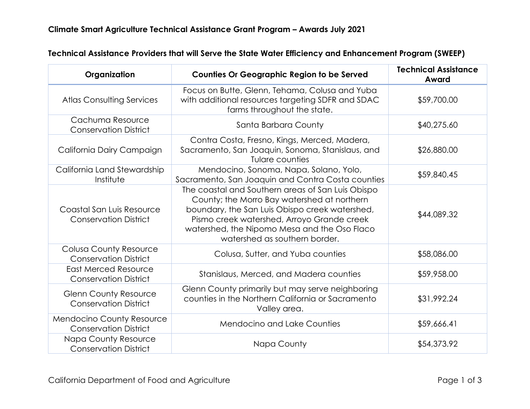| Organization                                                     | <b>Counties Or Geographic Region to be Served</b>                                                                                                                                                                                                                                 | <b>Technical Assistance</b><br>Award |
|------------------------------------------------------------------|-----------------------------------------------------------------------------------------------------------------------------------------------------------------------------------------------------------------------------------------------------------------------------------|--------------------------------------|
| <b>Atlas Consulting Services</b>                                 | Focus on Butte, Glenn, Tehama, Colusa and Yuba<br>with additional resources targeting SDFR and SDAC<br>farms throughout the state.                                                                                                                                                | \$59,700.00                          |
| Cachuma Resource<br><b>Conservation District</b>                 | Santa Barbara County                                                                                                                                                                                                                                                              | \$40,275.60                          |
| California Dairy Campaign                                        | Contra Costa, Fresno, Kings, Merced, Madera,<br>Sacramento, San Joaquin, Sonoma, Stanislaus, and<br>Tulare counties                                                                                                                                                               | \$26,880.00                          |
| California Land Stewardship<br>Institute                         | Mendocino, Sonoma, Napa, Solano, Yolo,<br>Sacramento, San Joaquin and Contra Costa counties                                                                                                                                                                                       | \$59,840.45                          |
| Coastal San Luis Resource<br><b>Conservation District</b>        | The coastal and Southern areas of San Luis Obispo<br>County; the Morro Bay watershed at northern<br>boundary, the San Luis Obispo creek watershed,<br>Pismo creek watershed, Arroyo Grande creek<br>watershed, the Nipomo Mesa and the Oso Flaco<br>watershed as southern border. | \$44,089.32                          |
| <b>Colusa County Resource</b><br><b>Conservation District</b>    | Colusa, Sutter, and Yuba counties                                                                                                                                                                                                                                                 | \$58,086.00                          |
| <b>East Merced Resource</b><br><b>Conservation District</b>      | Stanislaus, Merced, and Madera counties                                                                                                                                                                                                                                           | \$59,958.00                          |
| <b>Glenn County Resource</b><br><b>Conservation District</b>     | Glenn County primarily but may serve neighboring<br>counties in the Northern California or Sacramento<br>Valley area.                                                                                                                                                             | \$31,992.24                          |
| <b>Mendocino County Resource</b><br><b>Conservation District</b> | <b>Mendocino and Lake Counties</b>                                                                                                                                                                                                                                                | \$59,666.41                          |
| <b>Napa County Resource</b><br><b>Conservation District</b>      | Napa County                                                                                                                                                                                                                                                                       | \$54,373.92                          |

## **Technical Assistance Providers that will Serve the State Water Efficiency and Enhancement Program (SWEEP)**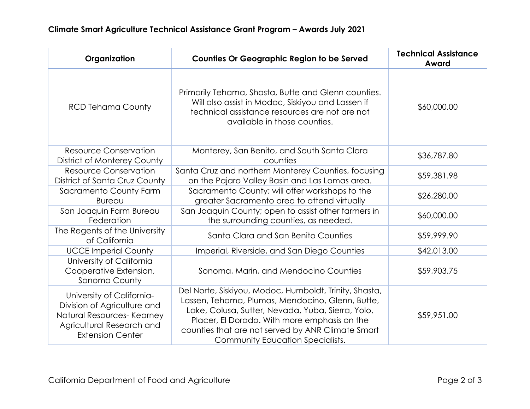| Organization                                                                                                                                   | <b>Counties Or Geographic Region to be Served</b>                                                                                                                                                                                                                                                        | <b>Technical Assistance</b><br>Award |
|------------------------------------------------------------------------------------------------------------------------------------------------|----------------------------------------------------------------------------------------------------------------------------------------------------------------------------------------------------------------------------------------------------------------------------------------------------------|--------------------------------------|
| <b>RCD Tehama County</b>                                                                                                                       | Primarily Tehama, Shasta, Butte and Glenn counties.<br>Will also assist in Modoc, Siskiyou and Lassen if<br>technical assistance resources are not are not<br>available in those counties.                                                                                                               | \$60,000.00                          |
| <b>Resource Conservation</b><br>District of Monterey County                                                                                    | Monterey, San Benito, and South Santa Clara<br>counties                                                                                                                                                                                                                                                  | \$36,787.80                          |
| <b>Resource Conservation</b><br>District of Santa Cruz County                                                                                  | Santa Cruz and northern Monterey Counties, focusing<br>on the Pajaro Valley Basin and Las Lomas area.                                                                                                                                                                                                    | \$59,381.98                          |
| Sacramento County Farm<br><b>Bureau</b>                                                                                                        | Sacramento County; will offer workshops to the<br>greater Sacramento area to attend virtually                                                                                                                                                                                                            | \$26,280.00                          |
| San Joaquin Farm Bureau<br>Federation                                                                                                          | San Joaquin County; open to assist other farmers in<br>the surrounding counties, as needed.                                                                                                                                                                                                              | \$60,000.00                          |
| The Regents of the University<br>of California                                                                                                 | Santa Clara and San Benito Counties                                                                                                                                                                                                                                                                      | \$59,999.90                          |
| <b>UCCE Imperial County</b>                                                                                                                    | Imperial, Riverside, and San Diego Counties                                                                                                                                                                                                                                                              | \$42,013.00                          |
| University of California<br>Cooperative Extension,<br>Sonoma County                                                                            | Sonoma, Marin, and Mendocino Counties                                                                                                                                                                                                                                                                    | \$59,903.75                          |
| University of California-<br>Division of Agriculture and<br>Natural Resources- Kearney<br>Agricultural Research and<br><b>Extension Center</b> | Del Norte, Siskiyou, Modoc, Humboldt, Trinity, Shasta,<br>Lassen, Tehama, Plumas, Mendocino, Glenn, Butte,<br>Lake, Colusa, Sutter, Nevada, Yuba, Sierra, Yolo,<br>Placer, El Dorado. With more emphasis on the<br>counties that are not served by ANR Climate Smart<br>Community Education Specialists. | \$59,951.00                          |